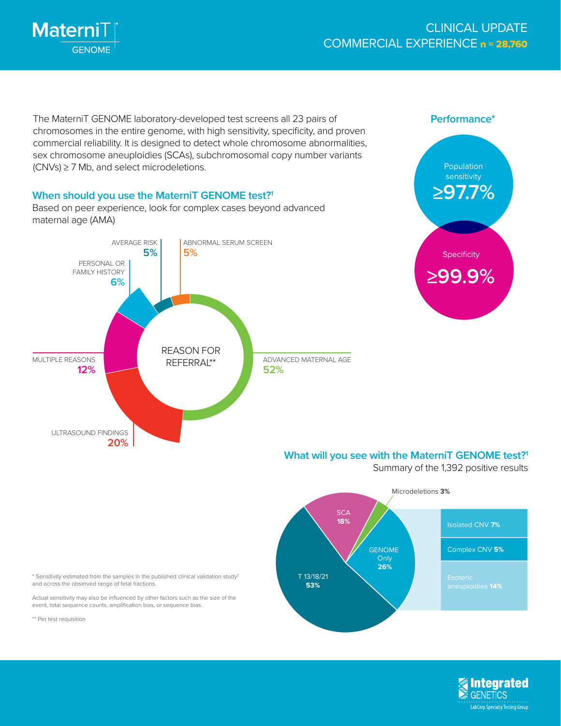

The MaterniT GENOME laboratory-developed test screens all 23 pairs of chromosomes in the entire genome, with high sensitivity, specificity, and proven commercial reliability. It is designed to detect whole chromosome abnormalities, sex chromosome aneuploidies (SCAs), subchromosomal copy number variants (CNVs) ≥ 7 Mb, and select microdeletions.

# **When should you use the MaterniT GENOME test?1**

Based on peer experience, look for complex cases beyond advanced maternal age (AMA)





#### **What will you see with the MaterniT GENOME test?1**

Summary of the 1,392 positive results



\* Sensitivity estimated from the samples in the published clinical validation study<sup>2</sup> and across the observed range of fetal fractions.

Actual sensitivity may also be influenced by other factors such as the size of the event, total sequence counts, amplification bias, or sequence bias.

\*\* Per test requisition